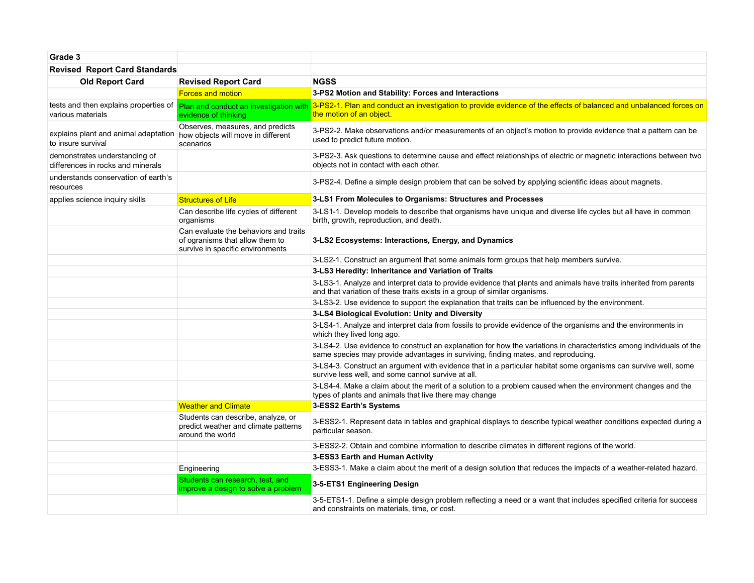| Grade 3                                                            |                                                                                                              |                                                                                                                                                                                                           |
|--------------------------------------------------------------------|--------------------------------------------------------------------------------------------------------------|-----------------------------------------------------------------------------------------------------------------------------------------------------------------------------------------------------------|
| <b>Revised Report Card Standards</b>                               |                                                                                                              |                                                                                                                                                                                                           |
| <b>Old Report Card</b>                                             | <b>Revised Report Card</b>                                                                                   | <b>NGSS</b>                                                                                                                                                                                               |
|                                                                    | <b>Forces and motion</b>                                                                                     | 3-PS2 Motion and Stability: Forces and Interactions                                                                                                                                                       |
| various materials                                                  | tests and then explains properties of Plan and conduct an investigation with<br>evidence of thinking         | 3-PS2-1. Plan and conduct an investigation to provide evidence of the effects of balanced and unbalanced forces on<br>the motion of an object.                                                            |
| explains plant and animal adaptation<br>to insure survival         | Observes, measures, and predicts<br>how objects will move in different<br>scenarios                          | 3-PS2-2. Make observations and/or measurements of an object's motion to provide evidence that a pattern can be<br>used to predict future motion.                                                          |
| demonstrates understanding of<br>differences in rocks and minerals |                                                                                                              | 3-PS2-3. Ask questions to determine cause and effect relationships of electric or magnetic interactions between two<br>objects not in contact with each other.                                            |
| understands conservation of earth's<br>resources                   |                                                                                                              | 3-PS2-4. Define a simple design problem that can be solved by applying scientific ideas about magnets.                                                                                                    |
| applies science inquiry skills                                     | <b>Structures of Life</b>                                                                                    | 3-LS1 From Molecules to Organisms: Structures and Processes                                                                                                                                               |
|                                                                    | Can describe life cycles of different<br>organisms                                                           | 3-LS1-1. Develop models to describe that organisms have unique and diverse life cycles but all have in common<br>birth, growth, reproduction, and death.                                                  |
|                                                                    | Can evaluate the behaviors and traits<br>of ogranisms that allow them to<br>survive in specific environments | 3-LS2 Ecosystems: Interactions, Energy, and Dynamics                                                                                                                                                      |
|                                                                    |                                                                                                              | 3-LS2-1. Construct an argument that some animals form groups that help members survive.                                                                                                                   |
|                                                                    |                                                                                                              | 3-LS3 Heredity: Inheritance and Variation of Traits                                                                                                                                                       |
|                                                                    |                                                                                                              | 3-LS3-1. Analyze and interpret data to provide evidence that plants and animals have traits inherited from parents<br>and that variation of these traits exists in a group of similar organisms.          |
|                                                                    |                                                                                                              | 3-LS3-2. Use evidence to support the explanation that traits can be influenced by the environment.                                                                                                        |
|                                                                    |                                                                                                              | 3-LS4 Biological Evolution: Unity and Diversity                                                                                                                                                           |
|                                                                    |                                                                                                              | 3-LS4-1. Analyze and interpret data from fossils to provide evidence of the organisms and the environments in<br>which they lived long ago.                                                               |
|                                                                    |                                                                                                              | 3-LS4-2. Use evidence to construct an explanation for how the variations in characteristics among individuals of the<br>same species may provide advantages in surviving, finding mates, and reproducing. |
|                                                                    |                                                                                                              | 3-LS4-3. Construct an argument with evidence that in a particular habitat some organisms can survive well, some<br>survive less well, and some cannot survive at all.                                     |
|                                                                    |                                                                                                              | 3-LS4-4. Make a claim about the merit of a solution to a problem caused when the environment changes and the<br>types of plants and animals that live there may change                                    |
|                                                                    | <b>Weather and Climate</b>                                                                                   | 3-ESS2 Earth's Systems                                                                                                                                                                                    |
|                                                                    | Students can describe, analyze, or<br>predict weather and climate patterns<br>around the world               | 3-ESS2-1. Represent data in tables and graphical displays to describe typical weather conditions expected during a<br>particular season.                                                                  |
|                                                                    |                                                                                                              | 3-ESS2-2. Obtain and combine information to describe climates in different regions of the world.                                                                                                          |
|                                                                    |                                                                                                              | 3-ESS3 Earth and Human Activity                                                                                                                                                                           |
|                                                                    | Engineering                                                                                                  | 3-ESS3-1. Make a claim about the merit of a design solution that reduces the impacts of a weather-related hazard.                                                                                         |
|                                                                    | Students can research, test, and<br>improve a design to solve a problem                                      | 3-5-ETS1 Engineering Design                                                                                                                                                                               |
|                                                                    |                                                                                                              | 3-5-ETS1-1. Define a simple design problem reflecting a need or a want that includes specified criteria for success<br>and constraints on materials, time, or cost.                                       |